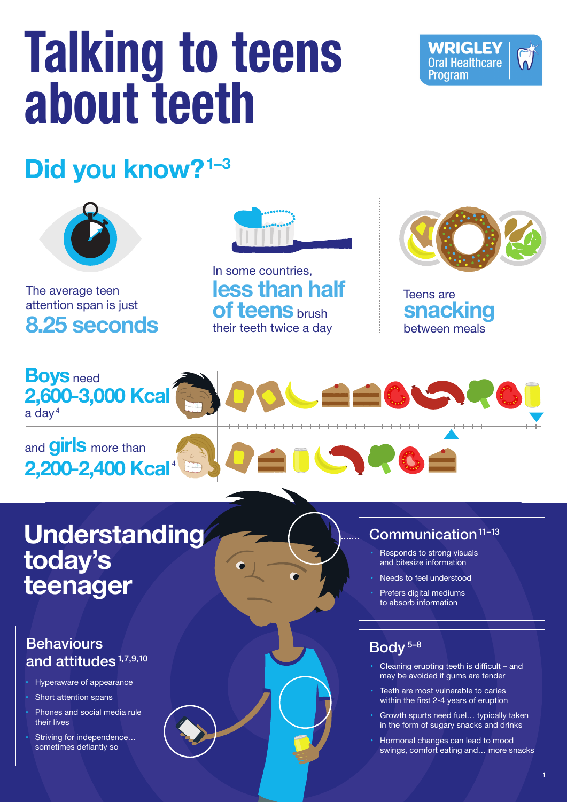**Understanding today's teenager**

#### $Common$ unication $11-13$

- Hyperaware of appearance
- Short attention spans
- Phones and social media rule their lives
- Striving for independence... sometimes defiantly so

#### Body 5–8

- Cleaning erupting teeth is difficult and may be avoided if gums are tender
- Teeth are most vulnerable to caries within the first 2-4 years of eruption
- Growth spurts need fuel... typically taken in the form of sugary snacks and drinks
- Hormonal changes can lead to mood swings, comfort eating and… more snacks

# **Talking to teens about teeth**

# **Did you know?1–3**



In some countries, **less than half of teens** brush their teeth twice a day





- Responds to strong visuals and bitesize information
- Needs to feel understood
- Prefers digital mediums to absorb information



### **Behaviours** and attitudes<sup>1,7,9,10</sup>

The average teen attention span is just **8.25 seconds**



Teens are **snacking** between meals

**1**